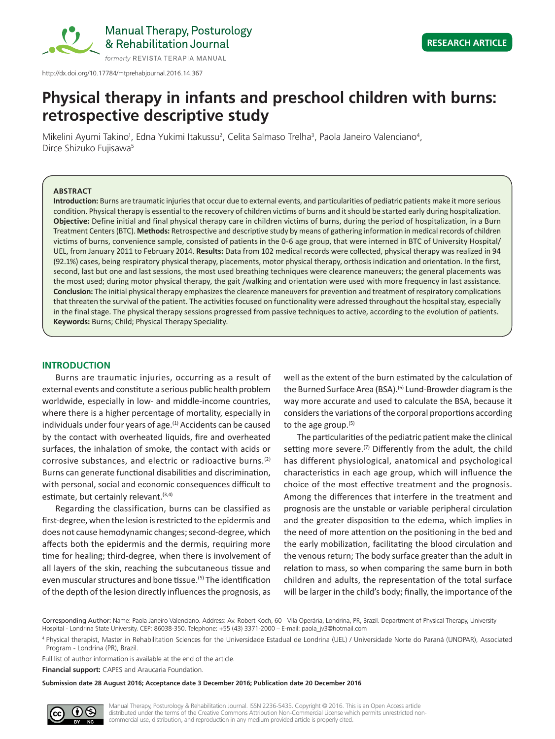

http://dx.doi.org/10.17784/mtprehabjournal.2016.14.367

# **Physical therapy in infants and preschool children with burns: retrospective descriptive study**

Mikelini Ayumi Takino<sup>1</sup>, Edna Yukimi Itakussu<sup>2</sup>, Celita Salmaso Trelha<sup>3</sup>, Paola Janeiro Valenciano<sup>4</sup>, Dirce Shizuko Fujisawa5

## **ABSTRACT**

**Introduction:** Burns are traumatic injuries that occur due to external events, and particularities of pediatric patients make it more serious condition. Physical therapy is essential to the recovery of children victims of burns and it should be started early during hospitalization. **Objective:** Define initial and final physical therapy care in children victims of burns, during the period of hospitalization, in a Burn Treatment Centers (BTC). **Methods:** Retrospective and descriptive study by means of gathering information in medical records of children victims of burns, convenience sample, consisted of patients in the 0-6 age group, that were interned in BTC of University Hospital/ UEL, from January 2011 to February 2014. **Results:** Data from 102 medical records were collected, physical therapy was realized in 94 (92.1%) cases, being respiratory physical therapy, placements, motor physical therapy, orthosis indication and orientation. In the first, second, last but one and last sessions, the most used breathing techniques were clearence maneuvers; the general placements was the most used; during motor physical therapy, the gait /walking and orientation were used with more frequency in last assistance. **Conclusion:** The initial physical therapy emphasizes the clearence maneuvers for prevention and treatment of respiratory complications that threaten the survival of the patient. The activities focused on functionality were adressed throughout the hospital stay, especially in the final stage. The physical therapy sessions progressed from passive techniques to active, according to the evolution of patients. **Keywords:** Burns; Child; Physical Therapy Speciality.

## **INTRODUCTION**

Burns are traumatic injuries, occurring as a result of external events and constitute a serious public health problem worldwide, especially in low- and middle-income countries, where there is a higher percentage of mortality, especially in individuals under four years of age.<sup>(1)</sup> Accidents can be caused by the contact with overheated liquids, fire and overheated surfaces, the inhalation of smoke, the contact with acids or corrosive substances, and electric or radioactive burns.(2) Burns can generate functional disabilities and discrimination, with personal, social and economic consequences difficult to estimate, but certainly relevant.<sup>(3,4)</sup>

Regarding the classification, burns can be classified as first-degree, when the lesion is restricted to the epidermis and does not cause hemodynamic changes; second‑degree, which affects both the epidermis and the dermis, requiring more time for healing; third-degree, when there is involvement of all layers of the skin, reaching the subcutaneous tissue and even muscular structures and bone tissue.<sup>(5)</sup> The identification of the depth of the lesion directly influences the prognosis, as

well as the extent of the burn estimated by the calculation of the Burned Surface Area (BSA).<sup>(6)</sup> Lund-Browder diagram is the way more accurate and used to calculate the BSA, because it considers the variations of the corporal proportions according to the age group.(5)

The particularities of the pediatric patient make the clinical setting more severe.<sup>(7)</sup> Differently from the adult, the child has different physiological, anatomical and psychological characteristics in each age group, which will influence the choice of the most effective treatment and the prognosis. Among the differences that interfere in the treatment and prognosis are the unstable or variable peripheral circulation and the greater disposition to the edema, which implies in the need of more attention on the positioning in the bed and the early mobilization, facilitating the blood circulation and the venous return; The body surface greater than the adult in relation to mass, so when comparing the same burn in both children and adults, the representation of the total surface will be larger in the child's body; finally, the importance of the

<sup>4</sup> Physical therapist, Master in Rehabilitation Sciences for the Universidade Estadual de Londrina (UEL) / Universidade Norte do Paraná (UNOPAR), Associated Program - Londrina (PR), Brazil.

Full list of author information is available at the end of the article.

**Financial support:** CAPES and Araucaria Foundation.

**Submission date 28 August 2016; Acceptance date 3 December 2016; Publication date 20 December 2016**



Manual Therapy, Posturology & Rehabilitation Journal. ISSN 2236-5435. Copyright © 2016. This is an Open Access article distributed under the terms of the Creative Commons Attribution Non-Commercial License which permits unrestricted noncommercial use, distribution, and reproduction in any medium provided article is properly cited.

Corresponding Author: Name: Paola Janeiro Valenciano. Address: Av. Robert Koch, 60 - Vila Operária, Londrina, PR, Brazil. Department of Physical Therapy, University Hospital - Londrina State University. CEP: 86038-350. Telephone: +55 (43) 3371-2000 – E-mail: paola\_jv3@hotmail.com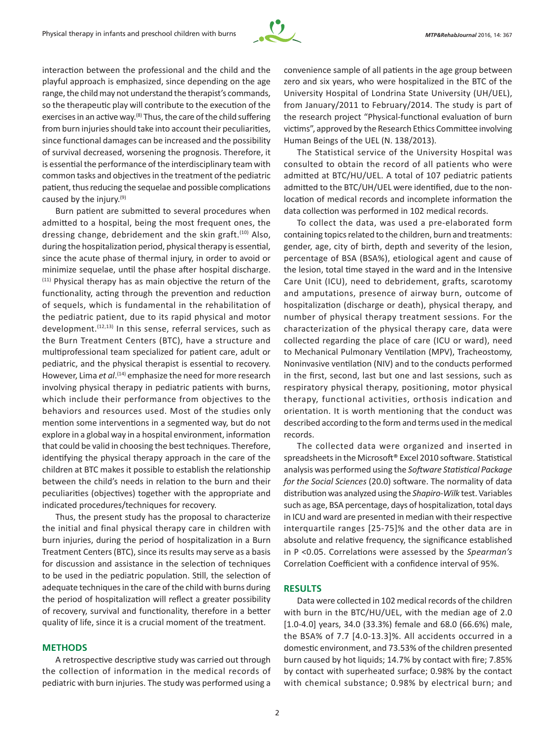

interaction between the professional and the child and the playful approach is emphasized, since depending on the age range, the child may not understand the therapist's commands, so the therapeutic play will contribute to the execution of the exercises in an active way.<sup>(8)</sup> Thus, the care of the child suffering from burn injuries should take into account their peculiarities, since functional damages can be increased and the possibility of survival decreased, worsening the prognosis. Therefore, it is essential the performance of the interdisciplinary team with common tasks and objectives in the treatment of the pediatric patient, thus reducing the sequelae and possible complications caused by the injury.<sup>(9)</sup>

Burn patient are submitted to several procedures when admitted to a hospital, being the most frequent ones, the dressing change, debridement and the skin graft.<sup>(10)</sup> Also, during the hospitalization period, physical therapy is essential, since the acute phase of thermal injury, in order to avoid or minimize sequelae, until the phase after hospital discharge. (11) Physical therapy has as main objective the return of the functionality, acting through the prevention and reduction of sequels, which is fundamental in the rehabilitation of the pediatric patient, due to its rapid physical and motor development. $(12,13)$  In this sense, referral services, such as the Burn Treatment Centers (BTC), have a structure and multiprofessional team specialized for patient care, adult or pediatric, and the physical therapist is essential to recovery. However, Lima *et al*. (14) emphasize the need for more research involving physical therapy in pediatric patients with burns, which include their performance from objectives to the behaviors and resources used. Most of the studies only mention some interventions in a segmented way, but do not explore in a global way in a hospital environment, information that could be valid in choosing the best techniques. Therefore, identifying the physical therapy approach in the care of the children at BTC makes it possible to establish the relationship between the child's needs in relation to the burn and their peculiarities (objectives) together with the appropriate and indicated procedures/techniques for recovery.

Thus, the present study has the proposal to characterize the initial and final physical therapy care in children with burn injuries, during the period of hospitalization in a Burn Treatment Centers (BTC), since its results may serve as a basis for discussion and assistance in the selection of techniques to be used in the pediatric population. Still, the selection of adequate techniques in the care of the child with burns during the period of hospitalization will reflect a greater possibility of recovery, survival and functionality, therefore in a better quality of life, since it is a crucial moment of the treatment.

## **METHODS**

A retrospective descriptive study was carried out through the collection of information in the medical records of pediatric with burn injuries. The study was performed using a convenience sample of all patients in the age group between zero and six years, who were hospitalized in the BTC of the University Hospital of Londrina State University (UH/UEL), from January/2011 to February/2014. The study is part of the research project "Physical-functional evaluation of burn victims", approved by the Research Ethics Committee involving Human Beings of the UEL (N. 138/2013).

The Statistical service of the University Hospital was consulted to obtain the record of all patients who were admitted at BTC/HU/UEL. A total of 107 pediatric patients admitted to the BTC/UH/UEL were identified, due to the nonlocation of medical records and incomplete information the data collection was performed in 102 medical records.

To collect the data, was used a pre-elaborated form containing topics related to the children, burn and treatments: gender, age, city of birth, depth and severity of the lesion, percentage of BSA (BSA%), etiological agent and cause of the lesion, total time stayed in the ward and in the Intensive Care Unit (ICU), need to debridement, grafts, scarotomy and amputations, presence of airway burn, outcome of hospitalization (discharge or death), physical therapy, and number of physical therapy treatment sessions. For the characterization of the physical therapy care, data were collected regarding the place of care (ICU or ward), need to Mechanical Pulmonary Ventilation (MPV), Tracheostomy, Noninvasive ventilation (NIV) and to the conducts performed in the first, second, last but one and last sessions, such as respiratory physical therapy, positioning, motor physical therapy, functional activities, orthosis indication and orientation. It is worth mentioning that the conduct was described according to the form and terms used in the medical records.

The collected data were organized and inserted in spreadsheets in the Microsoft® Excel 2010 software. Statistical analysis was performed using the *Software Statistical Package for the Social Sciences* (20.0) software. The normality of data distribution was analyzed using the *Shapiro-Wilk* test. Variables such as age, BSA percentage, days of hospitalization, total days in ICU and ward are presented in median with their respective interquartile ranges [25-75]% and the other data are in absolute and relative frequency, the significance established in P <0.05. Correlations were assessed by the *Spearman's* Correlation Coefficient with a confidence interval of 95%.

## **RESULTS**

Data were collected in 102 medical records of the children with burn in the BTC/HU/UEL, with the median age of 2.0 [1.0‑4.0] years, 34.0 (33.3%) female and 68.0 (66.6%) male, the BSA% of 7.7 [4.0-13.3]%. All accidents occurred in a domestic environment, and 73.53% of the children presented burn caused by hot liquids; 14.7% by contact with fire; 7.85% by contact with superheated surface; 0.98% by the contact with chemical substance; 0.98% by electrical burn; and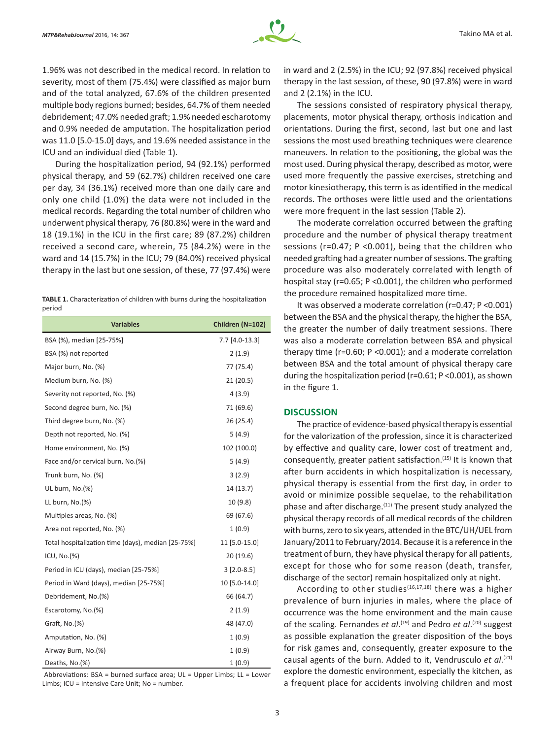

1.96% was not described in the medical record. In relation to severity, most of them (75.4%) were classified as major burn and of the total analyzed, 67.6% of the children presented multiple body regions burned; besides, 64.7% of them needed debridement; 47.0% needed graft; 1.9% needed escharotomy and 0.9% needed de amputation. The hospitalization period was 11.0 [5.0-15.0] days, and 19.6% needed assistance in the ICU and an individual died (Table 1).

During the hospitalization period, 94 (92.1%) performed physical therapy, and 59 (62.7%) children received one care per day, 34 (36.1%) received more than one daily care and only one child (1.0%) the data were not included in the medical records. Regarding the total number of children who underwent physical therapy, 76 (80.8%) were in the ward and 18 (19.1%) in the ICU in the first care; 89 (87.2%) children received a second care, wherein, 75 (84.2%) were in the ward and 14 (15.7%) in the ICU; 79 (84.0%) received physical therapy in the last but one session, of these, 77 (97.4%) were

|        |  | <b>TABLE 1.</b> Characterization of children with burns during the hospitalization |  |
|--------|--|------------------------------------------------------------------------------------|--|
| period |  |                                                                                    |  |

| <b>Variables</b>                                   | Children (N=102) |  |  |
|----------------------------------------------------|------------------|--|--|
| BSA (%), median [25-75%]                           | 7.7 [4.0-13.3]   |  |  |
| BSA (%) not reported                               | 2(1.9)           |  |  |
| Major burn, No. (%)                                | 77 (75.4)        |  |  |
| Medium burn, No. (%)                               | 21(20.5)         |  |  |
| Severity not reported, No. (%)                     | 4(3.9)           |  |  |
| Second degree burn, No. (%)                        | 71 (69.6)        |  |  |
| Third degree burn, No. (%)                         | 26(25.4)         |  |  |
| Depth not reported, No. (%)                        | 5(4.9)           |  |  |
| Home environment, No. (%)                          | 102 (100.0)      |  |  |
| Face and/or cervical burn, No.(%)                  | 5(4.9)           |  |  |
| Trunk burn, No. (%)                                | 3(2.9)           |  |  |
| UL burn, No.(%)                                    | 14 (13.7)        |  |  |
| LL burn, No.(%)                                    | 10 (9.8)         |  |  |
| Multiples areas, No. (%)                           | 69 (67.6)        |  |  |
| Area not reported, No. (%)                         | 1(0.9)           |  |  |
| Total hospitalization time (days), median [25-75%] | 11 [5.0-15.0]    |  |  |
| ICU, $No.(%)$                                      | 20(19.6)         |  |  |
| Period in ICU (days), median [25-75%]              | $3$ [2.0-8.5]    |  |  |
| Period in Ward (days), median [25-75%]             | 10 [5.0-14.0]    |  |  |
| Debridement, No.(%)                                | 66 (64.7)        |  |  |
| Escarotomy, No.(%)                                 | 2(1.9)           |  |  |
| Graft, No.(%)                                      | 48 (47.0)        |  |  |
| Amputation, No. (%)                                | 1(0.9)           |  |  |
| Airway Burn, No.(%)                                | 1(0.9)           |  |  |
| Deaths, No.(%)                                     | 1(0.9)           |  |  |

Abbreviations: BSA = burned surface area; UL = Upper Limbs; LL = Lower Limbs; ICU = Intensive Care Unit; No = number.

in ward and 2 (2.5%) in the ICU; 92 (97.8%) received physical therapy in the last session, of these, 90 (97.8%) were in ward and 2 (2.1%) in the ICU.

The sessions consisted of respiratory physical therapy, placements, motor physical therapy, orthosis indication and orientations. During the first, second, last but one and last sessions the most used breathing techniques were clearence maneuvers. In relation to the positioning, the global was the most used. During physical therapy, described as motor, were used more frequently the passive exercises, stretching and motor kinesiotherapy, this term is as identified in the medical records. The orthoses were little used and the orientations were more frequent in the last session (Table 2).

The moderate correlation occurred between the grafting procedure and the number of physical therapy treatment sessions (r=0.47; P <0.001), being that the children who needed grafting had a greater number of sessions. The grafting procedure was also moderately correlated with length of hospital stay (r=0.65; P <0.001), the children who performed the procedure remained hospitalized more time.

It was observed a moderate correlation (r=0.47; P <0.001) between the BSA and the physical therapy, the higher the BSA, the greater the number of daily treatment sessions. There was also a moderate correlation between BSA and physical therapy time (r=0.60; P <0.001); and a moderate correlation between BSA and the total amount of physical therapy care during the hospitalization period (r=0.61; P <0.001), as shown in the figure 1.

### **DISCUSSION**

The practice of evidence-based physical therapy is essential for the valorization of the profession, since it is characterized by effective and quality care, lower cost of treatment and, consequently, greater patient satisfaction.(15) It is known that after burn accidents in which hospitalization is necessary, physical therapy is essential from the first day, in order to avoid or minimize possible sequelae, to the rehabilitation phase and after discharge.(11) The present study analyzed the physical therapy records of all medical records of the children with burns, zero to six years, attended in the BTC/UH/UEL from January/2011 to February/2014. Because it is a reference in the treatment of burn, they have physical therapy for all patients, except for those who for some reason (death, transfer, discharge of the sector) remain hospitalized only at night.

According to other studies<sup>(16,17,18)</sup> there was a higher prevalence of burn injuries in males, where the place of occurrence was the home environment and the main cause of the scaling. Fernandes *et al*. (19) and Pedro *et al*. (20) suggest as possible explanation the greater disposition of the boys for risk games and, consequently, greater exposure to the causal agents of the burn. Added to it, Vendrusculo *et al*. (21) explore the domestic environment, especially the kitchen, as a frequent place for accidents involving children and most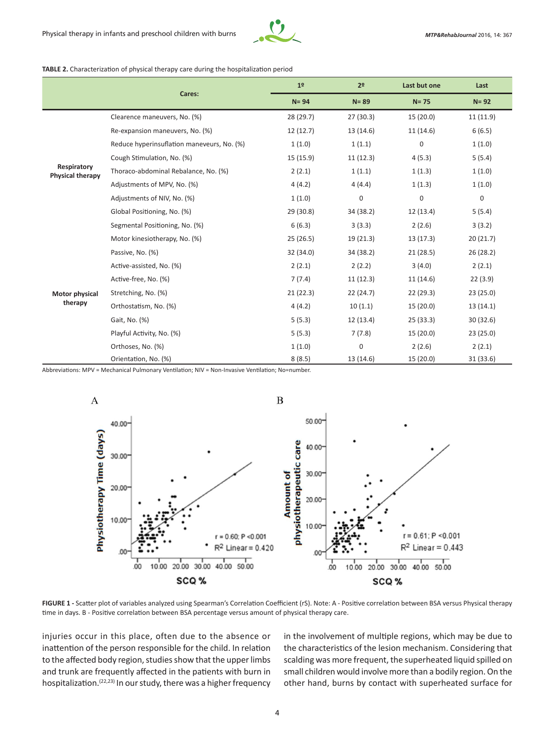

#### **TABLE 2.** Characterization of physical therapy care during the hospitalization period

|                                        |                                            | 1 <sup>o</sup> | 2 <sup>o</sup>   | Last but one     | Last      |
|----------------------------------------|--------------------------------------------|----------------|------------------|------------------|-----------|
|                                        | Cares:                                     | $N = 94$       | $N = 89$         | $N = 75$         | $N = 92$  |
|                                        | Clearence maneuvers, No. (%)               | 28 (29.7)      | 27(30.3)         | 15 (20.0)        | 11(11.9)  |
|                                        | Re-expansion maneuvers, No. (%)            | 12 (12.7)      | 13 (14.6)        | 11(14.6)         | 6(6.5)    |
|                                        | Reduce hyperinsuflation maneveurs, No. (%) | 1(1.0)         | 1(1.1)           | $\boldsymbol{0}$ | 1(1.0)    |
|                                        | Cough Stimulation, No. (%)                 | 15(15.9)       | 11(12.3)         | 4(5.3)           | 5(5.4)    |
| Respiratory<br><b>Physical therapy</b> | Thoraco-abdominal Rebalance, No. (%)       | 2(2.1)         | 1(1.1)           | 1(1.3)           | 1(1.0)    |
|                                        | Adjustments of MPV, No. (%)                | 4(4.2)         | 4(4.4)           | 1(1.3)           | 1(1.0)    |
|                                        | Adjustments of NIV, No. (%)                | 1(1.0)         | 0                | 0                | 0         |
|                                        | Global Positioning, No. (%)                | 29 (30.8)      | 34 (38.2)        | 12(13.4)         | 5(5.4)    |
|                                        | Segmental Positioning, No. (%)             | 6(6.3)         | 3(3.3)           | 2(2.6)           | 3(3.2)    |
|                                        | Motor kinesiotherapy, No. (%)              | 25(26.5)       | 19(21.3)         | 13(17.3)         | 20(21.7)  |
|                                        | Passive, No. (%)                           | 32 (34.0)      | 34 (38.2)        | 21(28.5)         | 26(28.2)  |
|                                        | Active-assisted, No. (%)                   | 2(2.1)         | 2(2.2)           | 3(4.0)           | 2(2.1)    |
|                                        | Active-free, No. (%)                       | 7(7.4)         | 11(12.3)         | 11(14.6)         | 22(3.9)   |
| Motor physical                         | Stretching, No. (%)                        | 21(22.3)       | 22(24.7)         | 22(29.3)         | 23(25.0)  |
| therapy                                | Orthostatism, No. (%)                      | 4(4.2)         | 10(1.1)          | 15(20.0)         | 13(14.1)  |
|                                        | Gait, No. (%)                              | 5(5.3)         | 12 (13.4)        | 25(33.3)         | 30 (32.6) |
|                                        | Playful Activity, No. (%)                  | 5(5.3)         | 7(7.8)           | 15(20.0)         | 23(25.0)  |
|                                        | Orthoses, No. (%)                          | 1(1.0)         | $\boldsymbol{0}$ | 2(2.6)           | 2(2.1)    |
|                                        | Orientation, No. (%)                       | 8(8.5)         | 13 (14.6)        | 15 (20.0)        | 31 (33.6) |

Abbreviations: MPV = Mechanical Pulmonary Ventilation; NIV = Non-Invasive Ventilation; No=number.



**FIGURE 1 -** Scatter plot of variables analyzed using Spearman's Correlation Coefficient (rS). Note: A - Positive correlation between BSA versus Physical therapy time in days. B - Positive correlation between BSA percentage versus amount of physical therapy care.

injuries occur in this place, often due to the absence or inattention of the person responsible for the child. In relation to the affected body region, studies show that the upper limbs and trunk are frequently affected in the patients with burn in hospitalization.<sup>(22,23)</sup> In our study, there was a higher frequency

in the involvement of multiple regions, which may be due to the characteristics of the lesion mechanism. Considering that scalding was more frequent, the superheated liquid spilled on small children would involve more than a bodily region. On the other hand, burns by contact with superheated surface for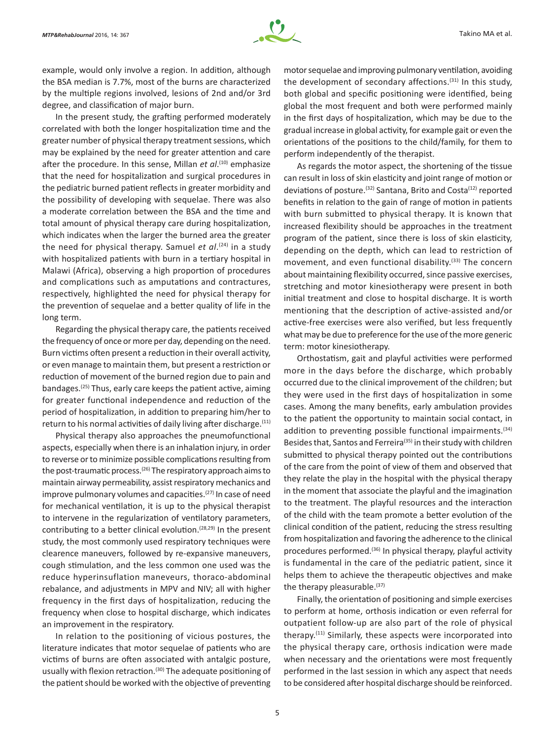

example, would only involve a region. In addition, although the BSA median is 7.7%, most of the burns are characterized by the multiple regions involved, lesions of 2nd and/or 3rd degree, and classification of major burn.

In the present study, the grafting performed moderately correlated with both the longer hospitalization time and the greater number of physical therapy treatment sessions, which may be explained by the need for greater attention and care after the procedure. In this sense, Millan *et al*. (10) emphasize that the need for hospitalization and surgical procedures in the pediatric burned patient reflects in greater morbidity and the possibility of developing with sequelae. There was also a moderate correlation between the BSA and the time and total amount of physical therapy care during hospitalization, which indicates when the larger the burned area the greater the need for physical therapy. Samuel *et al*. (24) in a study with hospitalized patients with burn in a tertiary hospital in Malawi (Africa), observing a high proportion of procedures and complications such as amputations and contractures, respectively, highlighted the need for physical therapy for the prevention of sequelae and a better quality of life in the long term.

Regarding the physical therapy care, the patients received the frequency of once or more per day, depending on the need. Burn victims often present a reduction in their overall activity, or even manage to maintain them, but present a restriction or reduction of movement of the burned region due to pain and bandages.<sup>(25)</sup> Thus, early care keeps the patient active, aiming for greater functional independence and reduction of the period of hospitalization, in addition to preparing him/her to return to his normal activities of daily living after discharge.<sup>(11)</sup>

Physical therapy also approaches the pneumofunctional aspects, especially when there is an inhalation injury, in order to reverse or to minimize possible complications resulting from the post-traumatic process.(26) The respiratory approach aims to maintain airway permeability, assist respiratory mechanics and improve pulmonary volumes and capacities. $(27)$  In case of need for mechanical ventilation, it is up to the physical therapist to intervene in the regularization of ventilatory parameters, contributing to a better clinical evolution.<sup>(28,29)</sup> In the present study, the most commonly used respiratory techniques were clearence maneuvers, followed by re‑expansive maneuvers, cough stimulation, and the less common one used was the reduce hyperinsuflation maneveurs, thoraco-abdominal rebalance, and adjustments in MPV and NIV; all with higher frequency in the first days of hospitalization, reducing the frequency when close to hospital discharge, which indicates an improvement in the respiratory.

In relation to the positioning of vicious postures, the literature indicates that motor sequelae of patients who are victims of burns are often associated with antalgic posture, usually with flexion retraction.<sup>(30)</sup> The adequate positioning of the patient should be worked with the objective of preventing

motor sequelae and improving pulmonary ventilation, avoiding the development of secondary affections.(31) In this study, both global and specific positioning were identified, being global the most frequent and both were performed mainly in the first days of hospitalization, which may be due to the gradual increase in global activity, for example gait or even the orientations of the positions to the child/family, for them to perform independently of the therapist.

As regards the motor aspect, the shortening of the tissue can result in loss of skin elasticity and joint range of motion or deviations of posture.<sup>(32)</sup> Santana, Brito and Costa<sup>(12)</sup> reported benefits in relation to the gain of range of motion in patients with burn submitted to physical therapy. It is known that increased flexibility should be approaches in the treatment program of the patient, since there is loss of skin elasticity, depending on the depth, which can lead to restriction of movement, and even functional disability.<sup>(33)</sup> The concern about maintaining flexibility occurred, since passive exercises, stretching and motor kinesiotherapy were present in both initial treatment and close to hospital discharge. It is worth mentioning that the description of active-assisted and/or active-free exercises were also verified, but less frequently what may be due to preference for the use of the more generic term: motor kinesiotherapy.

Orthostatism, gait and playful activities were performed more in the days before the discharge, which probably occurred due to the clinical improvement of the children; but they were used in the first days of hospitalization in some cases. Among the many benefits, early ambulation provides to the patient the opportunity to maintain social contact, in addition to preventing possible functional impairments.<sup>(34)</sup> Besides that, Santos and Ferreira<sup>(35)</sup> in their study with children submitted to physical therapy pointed out the contributions of the care from the point of view of them and observed that they relate the play in the hospital with the physical therapy in the moment that associate the playful and the imagination to the treatment. The playful resources and the interaction of the child with the team promote a better evolution of the clinical condition of the patient, reducing the stress resulting from hospitalization and favoring the adherence to the clinical procedures performed.<sup>(36)</sup> In physical therapy, playful activity is fundamental in the care of the pediatric patient, since it helps them to achieve the therapeutic objectives and make the therapy pleasurable.<sup>(37)</sup>

Finally, the orientation of positioning and simple exercises to perform at home, orthosis indication or even referral for outpatient follow-up are also part of the role of physical therapy.(11) Similarly, these aspects were incorporated into the physical therapy care, orthosis indication were made when necessary and the orientations were most frequently performed in the last session in which any aspect that needs to be considered after hospital discharge should be reinforced.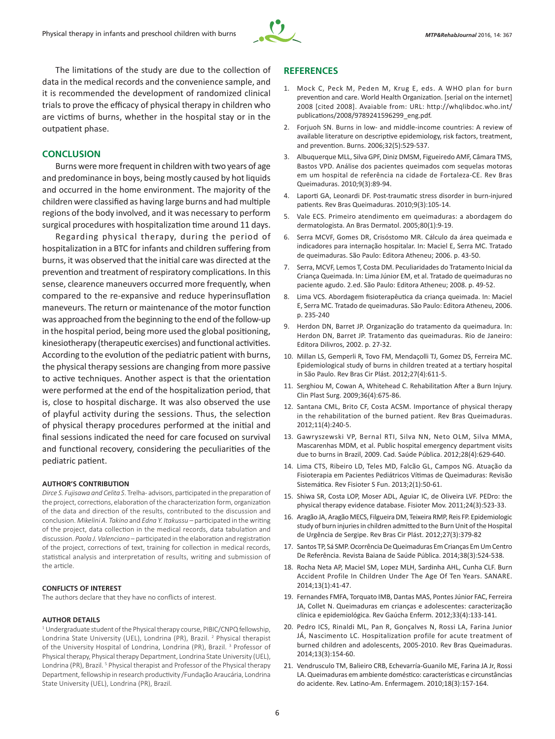

The limitations of the study are due to the collection of data in the medical records and the convenience sample, and it is recommended the development of randomized clinical trials to prove the efficacy of physical therapy in children who are victims of burns, whether in the hospital stay or in the outpatient phase.

## **CONCLUSION**

Burns were more frequent in children with two years of age and predominance in boys, being mostly caused by hot liquids and occurred in the home environment. The majority of the children were classified as having large burns and had multiple regions of the body involved, and it was necessary to perform surgical procedures with hospitalization time around 11 days.

Regarding physical therapy, during the period of hospitalization in a BTC for infants and children suffering from burns, it was observed that the initial care was directed at the prevention and treatment of respiratory complications. In this sense, clearence maneuvers occurred more frequently, when compared to the re-expansive and reduce hyperinsuflation maneveurs. The return or maintenance of the motor function was approached from the beginning to the end of the follow-up in the hospital period, being more used the global positioning, kinesiotherapy (therapeutic exercises) and functional activities. According to the evolution of the pediatric patient with burns, the physical therapy sessions are changing from more passive to active techniques. Another aspect is that the orientation were performed at the end of the hospitalization period, that is, close to hospital discharge. It was also observed the use of playful activity during the sessions. Thus, the selection of physical therapy procedures performed at the initial and final sessions indicated the need for care focused on survival and functional recovery, considering the peculiarities of the pediatric patient.

#### **AUTHOR'S CONTRIBUTION**

*Dirce S. Fujisawa and Celita S*. Trelha - advisors, participated in the preparation of the project, corrections, elaboration of the characterization form, organization of the data and direction of the results, contributed to the discussion and conclusion. *Mikelini A. Takino* and *Edna Y. Itakussu* – participated in the writing of the project, data collection in the medical records, data tabulation and discussion. *Paola J. Valenciano* – participated in the elaboration and registration of the project, corrections of text, training for collection in medical records, statistical analysis and interpretation of results, writing and submission of the article.

#### **CONFLICTS OF INTEREST**

The authors declare that they have no conflicts of interest.

#### **AUTHOR DETAILS**

<sup>1</sup> Undergraduate student of the Physical therapy course, PIBIC/CNPQ fellowship, Londrina State University (UEL), Londrina (PR), Brazil.<sup>2</sup> Physical therapist of the University Hospital of Londrina, Londrina (PR), Brazil.<sup>3</sup> Professor of Physical therapy, Physical therapy Department, Londrina State University (UEL), Londrina (PR), Brazil.<sup>5</sup> Physical therapist and Professor of the Physical therapy Department, fellowship in research productivity /Fundação Araucária, Londrina State University (UEL), Londrina (PR), Brazil.

#### **REFERENCES**

- 1. Mock C, Peck M, Peden M, Krug E, eds. A WHO plan for burn prevention and care. World Health Organization. [serial on the internet] 2008 [cited 2008]. Avaiable from: URL: http://whqlibdoc.who.int/ publications/2008/9789241596299\_eng.pdf.
- 2. Forjuoh SN. Burns in low- and middle-income countries: A review of available literature on descriptive epidemiology, risk factors, treatment, and prevention. Burns. 2006;32(5):529-537.
- 3. Albuquerque MLL, Silva GPF, Diniz DMSM, Figueiredo AMF, Câmara TMS, Bastos VPD. Análise dos pacientes queimados com sequelas motoras em um hospital de referência na cidade de Fortaleza-CE. Rev Bras Queimaduras. 2010;9(3):89-94.
- 4. Laporti GA, Leonardi DF. Post-traumatic stress disorder in burn-injured patients. Rev Bras Queimaduras. 2010;9(3):105-14.
- 5. Vale ECS. Primeiro atendimento em queimaduras: a abordagem do dermatologista. An Bras Dermatol. 2005;80(1):9-19.
- 6. Serra MCVF, Gomes DR, Crisóstomo MR. Cálculo da área queimada e indicadores para internação hospitalar. In: Maciel E, Serra MC. Tratado de queimaduras. São Paulo: Editora Atheneu; 2006. p. 43-50.
- 7. Serra, MCVF, Lemos T, Costa DM. Peculiaridades do Tratamento Inicial da Criança Queimada. In: Lima Júnior EM, et al. Tratado de queimaduras no paciente agudo. 2.ed. São Paulo: Editora Atheneu; 2008. p. 49-52.
- 8. Lima VCS. Abordagem fisioterapêutica da criança queimada. In: Maciel E, Serra MC. Tratado de queimaduras. São Paulo: Editora Atheneu, 2006. p. 235-240
- 9. Herdon DN, Barret JP. Organização do tratamento da queimadura. In: Herdon DN, Barret JP. Tratamento das queimaduras. Rio de Janeiro: Editora Dilivros, 2002. p. 27-32.
- 10. Millan LS, Gemperli R, Tovo FM, Mendaçolli TJ, Gomez DS, Ferreira MC. Epidemiological study of burns in children treated at a tertiary hospital in São Paulo. Rev Bras Cir Plást. 2012;27(4):611-5.
- 11. Serghiou M, Cowan A, Whitehead C. Rehabilitation After a Burn Injury. Clin Plast Surg. 2009;36(4):675-86.
- 12. Santana CML, Brito CF, Costa ACSM. Importance of physical therapy in the rehabilitation of the burned patient. Rev Bras Queimaduras. 2012;11(4):240-5.
- 13. Gawryszewski VP, Bernal RTI, Silva NN, Neto OLM, Silva MMA, Mascarenhas MDM, et al. Public hospital emergency department visits due to burns in Brazil, 2009. Cad. Saúde Pública. 2012;28(4):629-640.
- 14. Lima CTS, Ribeiro LD, Teles MD, Falcão GL, Campos NG. Atuação da Fisioterapia em Pacientes Pediátricos Vítimas de Queimaduras: Revisão Sistemática. Rev Fisioter S Fun. 2013;2(1):50-61.
- 15. Shiwa SR, Costa LOP, Moser ADL, Aguiar IC, de Oliveira LVF. PEDro: the physical therapy evidence database. Fisioter Mov. 2011;24(3):523-33.
- 16. Aragão JA, Aragão MECS, Filgueira DM, Teixeira RMP, Reis FP. Epidemiologic study of burn injuries in children admitted to the Burn Unit of the Hospital de Urgência de Sergipe. Rev Bras Cir Plást. 2012;27(3):379-82
- 17. Santos TP, Sá SMP. Ocorrência De Queimaduras Em Crianças Em Um Centro De Referência. Revista Baiana de Saúde Pública. 2014;38(3):524-538.
- 18. Rocha Neta AP, Maciel SM, Lopez MLH, Sardinha AHL, Cunha CLF. Burn Accident Profile In Children Under The Age Of Ten Years. SANARE. 2014;13(1):41-47.
- 19. Fernandes FMFA, Torquato IMB, Dantas MAS, Pontes Júnior FAC, Ferreira JA, Collet N. Queimaduras em crianças e adolescentes: caracterização clínica e epidemiológica. Rev Gaúcha Enferm. 2012;33(4):133-141.
- 20. Pedro ICS, Rinaldi ML, Pan R, Gonçalves N, Rossi LA, Farina Junior JÁ, Nascimento LC. Hospitalization profile for acute treatment of burned children and adolescents, 2005-2010. Rev Bras Queimaduras. 2014;13(3):154-60.
- 21. Vendrusculo TM, Balieiro CRB, Echevarría-Guanilo ME, Farina JA Jr, Rossi LA. Queimaduras em ambiente doméstico: características e circunstâncias do acidente. Rev. Latino-Am. Enfermagem. 2010;18(3):157-164.